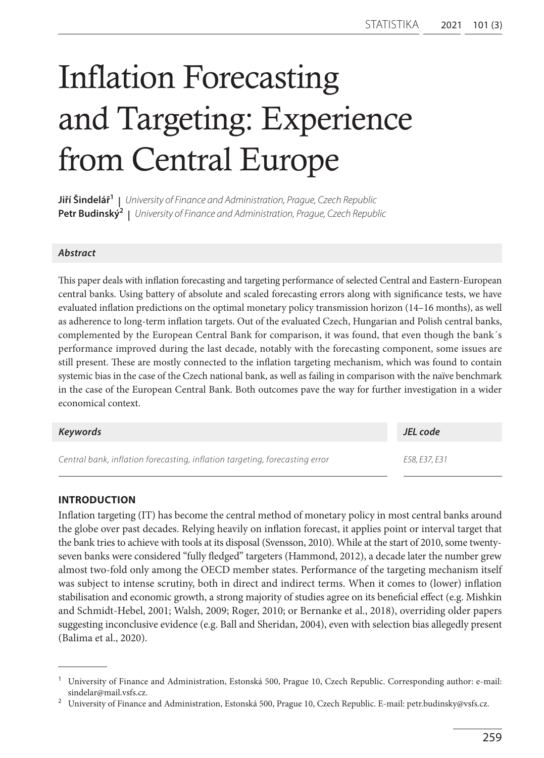# Inflation Forecasting and Targeting: Experience from Central Europe

**Jiří Šindelář1 |** *University of Finance and Administration, Prague, Czech Republic* **Petr Budinský2 |** *University of Finance and Administration, Prague, Czech Republic*

## *Abstract*

This paper deals with inflation forecasting and targeting performance of selected Central and Eastern-European central banks. Using battery of absolute and scaled forecasting errors along with significance tests, we have evaluated inflation predictions on the optimal monetary policy transmission horizon (14–16 months), as well as adherence to long-term inflation targets. Out of the evaluated Czech, Hungarian and Polish central banks, complemented by the European Central Bank for comparison, it was found, that even though the bank´s performance improved during the last decade, notably with the forecasting component, some issues are still present. These are mostly connected to the inflation targeting mechanism, which was found to contain systemic bias in the case of the Czech national bank, as well as failing in comparison with the naïve benchmark in the case of the European Central Bank. Both outcomes pave the way for further investigation in a wider economical context.

| Keywords                                                                    | JEL code      |
|-----------------------------------------------------------------------------|---------------|
| Central bank, inflation forecasting, inflation targeting, forecasting error | E58, E37, E31 |

## **INTRODUCTION**

Inflation targeting (IT) has become the central method of monetary policy in most central banks around the globe over past decades. Relying heavily on inflation forecast, it applies point or interval target that the bank tries to achieve with tools at its disposal (Svensson, 2010). While at the start of 2010, some twentyseven banks were considered "fully fledged" targeters (Hammond, 2012), a decade later the number grew almost two-fold only among the OECD member states. Performance of the targeting mechanism itself was subject to intense scrutiny, both in direct and indirect terms. When it comes to (lower) inflation stabilisation and economic growth, a strong majority of studies agree on its beneficial effect (e.g. Mishkin and Schmidt-Hebel, 2001; Walsh, 2009; Roger, 2010; or Bernanke et al., 2018), overriding older papers suggesting inconclusive evidence (e.g. Ball and Sheridan, 2004), even with selection bias allegedly present (Balima et al., 2020).

<sup>1</sup> University of Finance and Administration, Estonská 500, Prague 10, Czech Republic. Corresponding author: e-mail: sindelar@mail.vsfs.cz.

<sup>2</sup> University of Finance and Administration, Estonská 500, Prague 10, Czech Republic. E-mail: petr.budinsky@vsfs.cz.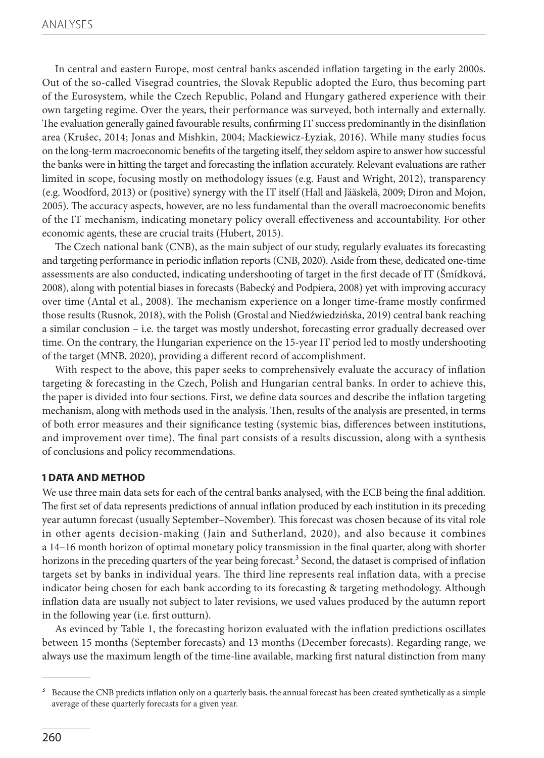In central and eastern Europe, most central banks ascended inflation targeting in the early 2000s. Out of the so-called Visegrad countries, the Slovak Republic adopted the Euro, thus becoming part of the Eurosystem, while the Czech Republic, Poland and Hungary gathered experience with their own targeting regime. Over the years, their performance was surveyed, both internally and externally. The evaluation generally gained favourable results, confirming IT success predominantly in the disinflation area (Krušec, 2014; Jonas and Mishkin, 2004; Mackiewicz-Łyziak, 2016). While many studies focus on the long-term macroeconomic benefits of the targeting itself, they seldom aspire to answer how successful the banks were in hitting the target and forecasting the inflation accurately. Relevant evaluations are rather limited in scope, focusing mostly on methodology issues (e.g. Faust and Wright, 2012), transparency (e.g. Woodford, 2013) or (positive) synergy with the IT itself (Hall and Jääskelä, 2009; Diron and Mojon, 2005). The accuracy aspects, however, are no less fundamental than the overall macroeconomic benefits of the IT mechanism, indicating monetary policy overall effectiveness and accountability. For other economic agents, these are crucial traits (Hubert, 2015).

The Czech national bank (CNB), as the main subject of our study, regularly evaluates its forecasting and targeting performance in periodic inflation reports (CNB, 2020). Aside from these, dedicated one-time assessments are also conducted, indicating undershooting of target in the first decade of IT (Šmídková, 2008), along with potential biases in forecasts (Babecký and Podpiera, 2008) yet with improving accuracy over time (Antal et al., 2008). The mechanism experience on a longer time-frame mostly confirmed those results (Rusnok, 2018), with the Polish (Grostal and Niedźwiedzińska, 2019) central bank reaching a similar conclusion – i.e. the target was mostly undershot, forecasting error gradually decreased over time. On the contrary, the Hungarian experience on the 15-year IT period led to mostly undershooting of the target (MNB, 2020), providing a different record of accomplishment.

With respect to the above, this paper seeks to comprehensively evaluate the accuracy of inflation targeting & forecasting in the Czech, Polish and Hungarian central banks. In order to achieve this, the paper is divided into four sections. First, we define data sources and describe the inflation targeting mechanism, along with methods used in the analysis. Then, results of the analysis are presented, in terms of both error measures and their significance testing (systemic bias, differences between institutions, and improvement over time). The final part consists of a results discussion, along with a synthesis of conclusions and policy recommendations.

## **1 DATA AND METHOD**

We use three main data sets for each of the central banks analysed, with the ECB being the final addition. The first set of data represents predictions of annual inflation produced by each institution in its preceding year autumn forecast (usually September–November). This forecast was chosen because of its vital role in other agents decision-making (Jain and Sutherland, 2020), and also because it combines a 14–16 month horizon of optimal monetary policy transmission in the final quarter, along with shorter horizons in the preceding quarters of the year being forecast.<sup>3</sup> Second, the dataset is comprised of inflation targets set by banks in individual years. The third line represents real inflation data, with a precise indicator being chosen for each bank according to its forecasting & targeting methodology. Although inflation data are usually not subject to later revisions, we used values produced by the autumn report in the following year (i.e. first outturn).

As evinced by Table 1, the forecasting horizon evaluated with the inflation predictions oscillates between 15 months (September forecasts) and 13 months (December forecasts). Regarding range, we always use the maximum length of the time-line available, marking first natural distinction from many

<sup>3</sup> Because the CNB predicts inflation only on a quarterly basis, the annual forecast has been created synthetically as a simple average of these quarterly forecasts for a given year.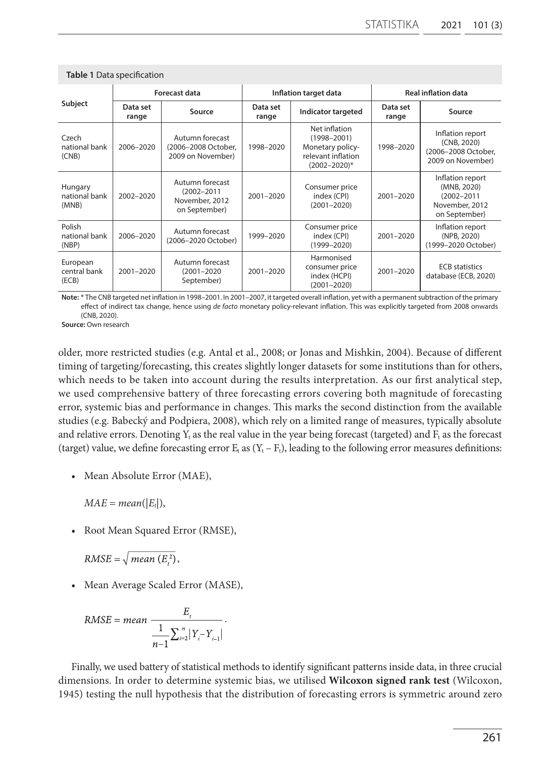|                                   | Forecast data     |                                                                       | Inflation target data |                                                                                                 | <b>Real inflation data</b> |                                                                                       |
|-----------------------------------|-------------------|-----------------------------------------------------------------------|-----------------------|-------------------------------------------------------------------------------------------------|----------------------------|---------------------------------------------------------------------------------------|
| Subject                           | Data set<br>range | Source                                                                | Data set<br>range     | Indicator targeted                                                                              | Data set<br>range          | Source                                                                                |
| Czech<br>national bank<br>(CNB)   | 2006-2020         | Autumn forecast<br>(2006-2008 October,<br>2009 on November)           | 1998-2020             | Net inflation<br>$(1998 - 2001)$<br>Monetary policy-<br>relevant inflation<br>$(2002 - 2020)^*$ | 1998-2020                  | Inflation report<br>(CNB, 2020)<br>(2006-2008 October,<br>2009 on November)           |
| Hungary<br>national bank<br>(MNB) | 2002-2020         | Autumn forecast<br>$(2002 - 2011)$<br>November, 2012<br>on September) | 2001-2020             | Consumer price<br>index (CPI)<br>$(2001 - 2020)$                                                | $2001 - 2020$              | Inflation report<br>(MNB, 2020)<br>$(2002 - 2011)$<br>November, 2012<br>on September) |
| Polish<br>national bank<br>(NBP)  | 2006-2020         | Autumn forecast<br>(2006-2020 October)                                | 1999-2020             | Consumer price<br>index (CPI)<br>$(1999 - 2020)$                                                | $2001 - 2020$              | Inflation report<br>(NPB, 2020)<br>(1999-2020 October)                                |
| European<br>central bank<br>(ECB) | 2001-2020         | Autumn forecast<br>$(2001 - 2020)$<br>September)                      | 2001-2020             | Harmonised<br>consumer price<br>index (HCPI)<br>$(2001 - 2020)$                                 | 2001-2020                  | <b>ECB</b> statistics<br>database (ECB, 2020)                                         |

**Table 1** Data specification

**Note:** \* The CNB targeted net inflation in 1998–2001. In 2001–2007, it targeted overall inflation, yet with a permanent subtraction of the primary effect of indirect tax change, hence using *de facto* monetary policy-relevant inflation. This was explicitly targeted from 2008 onwards (CNB, 2020).

**Source:** Own research

older, more restricted studies (e.g. Antal et al., 2008; or Jonas and Mishkin, 2004). Because of different timing of targeting/forecasting, this creates slightly longer datasets for some institutions than for others, which needs to be taken into account during the results interpretation. As our first analytical step, we used comprehensive battery of three forecasting errors covering both magnitude of forecasting error, systemic bias and performance in changes. This marks the second distinction from the available studies (e.g. Babecký and Podpiera, 2008), which rely on a limited range of measures, typically absolute and relative errors. Denoting  $Y_t$  as the real value in the year being forecast (targeted) and  $F_t$  as the forecast (target) value, we define forecasting error  $E_t$  as  $(Y_t - F_t)$ , leading to the following error measures definitions:

• Mean Absolute Error (MAE),

 $MAE = mean(|E_t|),$ 

• Root Mean Squared Error (RMSE),

 $RMSE = \sqrt{mean(E_i^2)}$ ,

• Mean Average Scaled Error (MASE),

RMSE = mean 
$$
\frac{E_t}{\frac{1}{n-1} \sum_{i=2}^{n} |Y_i - Y_{i-1}|}.
$$

Finally, we used battery of statistical methods to identify significant patterns inside data, in three crucial dimensions. In order to determine systemic bias, we utilised **Wilcoxon signed rank test** (Wilcoxon, 1945) testing the null hypothesis that the distribution of forecasting errors is symmetric around zero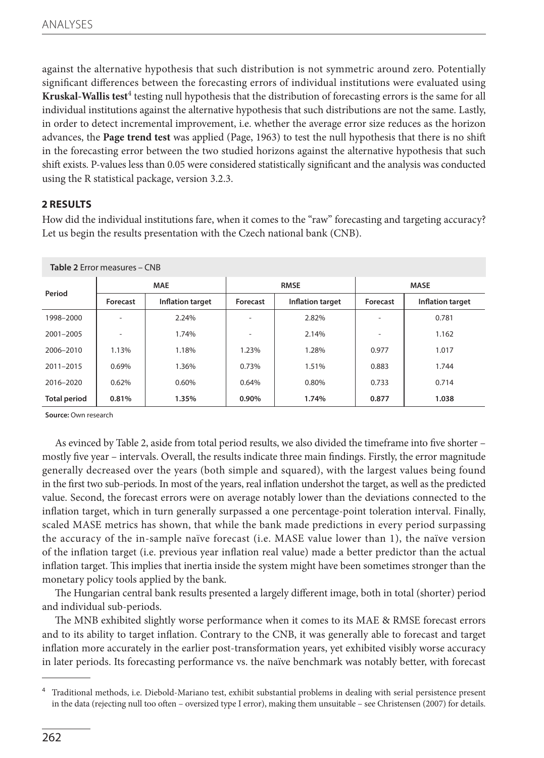against the alternative hypothesis that such distribution is not symmetric around zero. Potentially significant differences between the forecasting errors of individual institutions were evaluated using **Kruskal-Wallis test<sup>4</sup> testing null hypothesis that the distribution of forecasting errors is the same for all** individual institutions against the alternative hypothesis that such distributions are not the same. Lastly, in order to detect incremental improvement, i.e. whether the average error size reduces as the horizon advances, the **Page trend test** was applied (Page, 1963) to test the null hypothesis that there is no shift in the forecasting error between the two studied horizons against the alternative hypothesis that such shift exists. P-values less than 0.05 were considered statistically significant and the analysis was conducted using the R statistical package, version 3.2.3.

## **2 RESULTS**

How did the individual institutions fare, when it comes to the "raw" forecasting and targeting accuracy? Let us begin the results presentation with the Czech national bank (CNB).

| Table 2 Error measures - CNB |            |                  |             |                  |             |                         |  |
|------------------------------|------------|------------------|-------------|------------------|-------------|-------------------------|--|
| Period                       | <b>MAE</b> |                  | <b>RMSE</b> |                  | <b>MASE</b> |                         |  |
|                              | Forecast   | Inflation target | Forecast    | Inflation target | Forecast    | <b>Inflation target</b> |  |
| 1998-2000                    |            | 2.24%            |             | 2.82%            |             | 0.781                   |  |
| 2001-2005                    | ۰          | 1.74%            | ۰           | 2.14%            | ۰           | 1.162                   |  |
| 2006-2010                    | 1.13%      | 1.18%            | 1.23%       | 1.28%            | 0.977       | 1.017                   |  |
| 2011-2015                    | 0.69%      | 1.36%            | 0.73%       | 1.51%            | 0.883       | 1.744                   |  |
| 2016-2020                    | 0.62%      | 0.60%            | 0.64%       | 0.80%            | 0.733       | 0.714                   |  |
| <b>Total period</b>          | 0.81%      | 1.35%            | 0.90%       | 1.74%            | 0.877       | 1.038                   |  |

**Source:** Own research

As evinced by Table 2, aside from total period results, we also divided the timeframe into five shorter – mostly five year – intervals. Overall, the results indicate three main findings. Firstly, the error magnitude generally decreased over the years (both simple and squared), with the largest values being found in the first two sub-periods. In most of the years, real inflation undershot the target, as well as the predicted value. Second, the forecast errors were on average notably lower than the deviations connected to the inflation target, which in turn generally surpassed a one percentage-point toleration interval. Finally, scaled MASE metrics has shown, that while the bank made predictions in every period surpassing the accuracy of the in-sample naïve forecast (i.e. MASE value lower than 1), the naïve version of the inflation target (i.e. previous year inflation real value) made a better predictor than the actual inflation target. This implies that inertia inside the system might have been sometimes stronger than the monetary policy tools applied by the bank.

The Hungarian central bank results presented a largely different image, both in total (shorter) period and individual sub-periods.

The MNB exhibited slightly worse performance when it comes to its MAE & RMSE forecast errors and to its ability to target inflation. Contrary to the CNB, it was generally able to forecast and target inflation more accurately in the earlier post-transformation years, yet exhibited visibly worse accuracy in later periods. Its forecasting performance vs. the naïve benchmark was notably better, with forecast

<sup>4</sup> Traditional methods, i.e. Diebold-Mariano test, exhibit substantial problems in dealing with serial persistence present in the data (rejecting null too often – oversized type I error), making them unsuitable – see Christensen (2007) for details.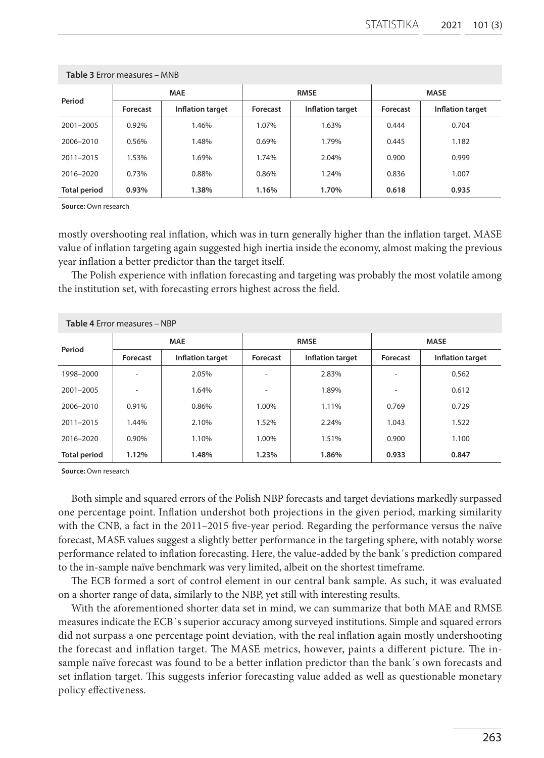| Period              | <b>MAE</b> |                  | <b>RMSE</b> |                  | <b>MASE</b> |                  |
|---------------------|------------|------------------|-------------|------------------|-------------|------------------|
|                     | Forecast   | Inflation target | Forecast    | Inflation target | Forecast    | Inflation target |
| 2001-2005           | 0.92%      | 1.46%            | 1.07%       | 1.63%            | 0.444       | 0.704            |
| 2006-2010           | 0.56%      | 1.48%            | 0.69%       | 1.79%            | 0.445       | 1.182            |
| 2011-2015           | 1.53%      | 1.69%            | 1.74%       | 2.04%            | 0.900       | 0.999            |
| 2016-2020           | 0.73%      | 0.88%            | 0.86%       | 1.24%            | 0.836       | 1.007            |
| <b>Total period</b> | 0.93%      | 1.38%            | 1.16%       | 1.70%            | 0.618       | 0.935            |

#### **Table 3** Error measures – MNB

**Source:** Own research

mostly overshooting real inflation, which was in turn generally higher than the inflation target. MASE value of inflation targeting again suggested high inertia inside the economy, almost making the previous year inflation a better predictor than the target itself.

The Polish experience with inflation forecasting and targeting was probably the most volatile among the institution set, with forecasting errors highest across the field.

| <b>Table 4 Frror measures - NBP</b> |            |                         |                |                         |             |                  |  |
|-------------------------------------|------------|-------------------------|----------------|-------------------------|-------------|------------------|--|
| Period                              | <b>MAE</b> |                         | <b>RMSE</b>    |                         | <b>MASE</b> |                  |  |
|                                     | Forecast   | <b>Inflation target</b> | Forecast       | <b>Inflation target</b> | Forecast    | Inflation target |  |
| 1998-2000                           |            | 2.05%                   |                | 2.83%                   |             | 0.562            |  |
| 2001-2005                           |            | 1.64%                   | $\blacksquare$ | 1.89%                   |             | 0.612            |  |
| 2006-2010                           | 0.91%      | 0.86%                   | 1.00%          | 1.11%                   | 0.769       | 0.729            |  |
| 2011-2015                           | 1.44%      | 2.10%                   | 1.52%          | 2.24%                   | 1.043       | 1.522            |  |
| 2016-2020                           | 0.90%      | 1.10%                   | 1.00%          | 1.51%                   | 0.900       | 1.100            |  |
| <b>Total period</b>                 | 1.12%      | 1.48%                   | 1.23%          | 1.86%                   | 0.933       | 0.847            |  |

**Source:** Own research

Both simple and squared errors of the Polish NBP forecasts and target deviations markedly surpassed one percentage point. Inflation undershot both projections in the given period, marking similarity with the CNB, a fact in the 2011–2015 five-year period. Regarding the performance versus the naïve forecast, MASE values suggest a slightly better performance in the targeting sphere, with notably worse performance related to inflation forecasting. Here, the value-added by the bank´s prediction compared to the in-sample naïve benchmark was very limited, albeit on the shortest timeframe.

The ECB formed a sort of control element in our central bank sample. As such, it was evaluated on a shorter range of data, similarly to the NBP, yet still with interesting results.

With the aforementioned shorter data set in mind, we can summarize that both MAE and RMSE measures indicate the ECB´s superior accuracy among surveyed institutions. Simple and squared errors did not surpass a one percentage point deviation, with the real inflation again mostly undershooting the forecast and inflation target. The MASE metrics, however, paints a different picture. The insample naïve forecast was found to be a better inflation predictor than the bank´s own forecasts and set inflation target. This suggests inferior forecasting value added as well as questionable monetary policy effectiveness.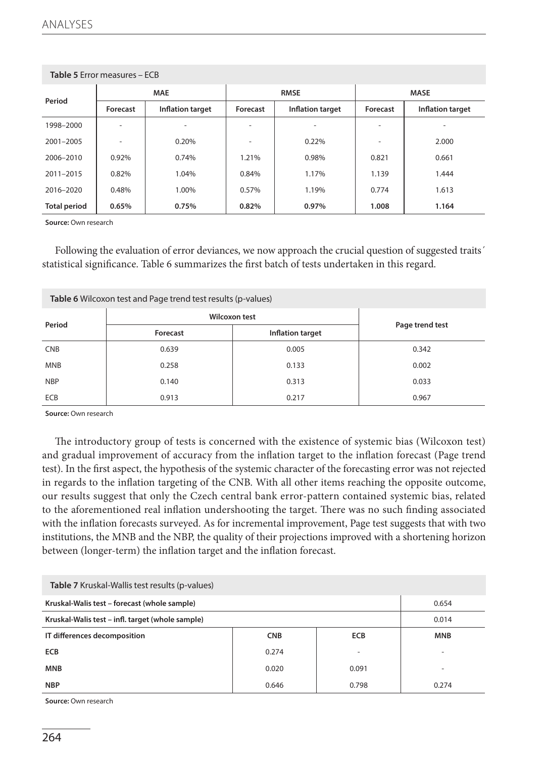| Table 3 EITOL ITIE asules - ECD |                |                  |             |                  |             |                  |  |
|---------------------------------|----------------|------------------|-------------|------------------|-------------|------------------|--|
| Period                          | <b>MAE</b>     |                  | <b>RMSE</b> |                  | <b>MASE</b> |                  |  |
|                                 | Forecast       | Inflation target | Forecast    | Inflation target | Forecast    | Inflation target |  |
| 1998-2000                       |                |                  |             |                  |             |                  |  |
| 2001-2005                       | $\blacksquare$ | 0.20%            |             | 0.22%            |             | 2.000            |  |
| 2006-2010                       | 0.92%          | 0.74%            | 1.21%       | 0.98%            | 0.821       | 0.661            |  |
| 2011-2015                       | 0.82%          | 1.04%            | 0.84%       | 1.17%            | 1.139       | 1.444            |  |
| 2016-2020                       | 0.48%          | 1.00%            | 0.57%       | 1.19%            | 0.774       | 1.613            |  |
| <b>Total period</b>             | 0.65%          | 0.75%            | 0.82%       | 0.97%            | 1.008       | 1.164            |  |

## **Table 5** Error measures – ECB

**Source:** Own research

Following the evaluation of error deviances, we now approach the crucial question of suggested traits' statistical significance. Table 6 summarizes the first batch of tests undertaken in this regard.

| Table 6 Wilcoxon test and Page trend test results (p-values) |                      |                  |       |  |  |  |  |
|--------------------------------------------------------------|----------------------|------------------|-------|--|--|--|--|
| Period                                                       | <b>Wilcoxon test</b> | Page trend test  |       |  |  |  |  |
|                                                              | Forecast             | Inflation target |       |  |  |  |  |
| <b>CNB</b>                                                   | 0.639                | 0.005            | 0.342 |  |  |  |  |
| <b>MNB</b>                                                   | 0.258                | 0.133            | 0.002 |  |  |  |  |
| <b>NBP</b>                                                   | 0.140                | 0.313            | 0.033 |  |  |  |  |
| ECB                                                          | 0.913                | 0.217            | 0.967 |  |  |  |  |

**Source:** Own research

The introductory group of tests is concerned with the existence of systemic bias (Wilcoxon test) and gradual improvement of accuracy from the inflation target to the inflation forecast (Page trend test). In the first aspect, the hypothesis of the systemic character of the forecasting error was not rejected in regards to the inflation targeting of the CNB. With all other items reaching the opposite outcome, our results suggest that only the Czech central bank error-pattern contained systemic bias, related to the aforementioned real inflation undershooting the target. There was no such finding associated with the inflation forecasts surveyed. As for incremental improvement, Page test suggests that with two institutions, the MNB and the NBP, the quality of their projections improved with a shortening horizon between (longer-term) the inflation target and the inflation forecast.

| Table 7 Kruskal-Wallis test results (p-values)   |                          |       |                          |  |  |  |  |
|--------------------------------------------------|--------------------------|-------|--------------------------|--|--|--|--|
| Kruskal-Walis test – forecast (whole sample)     | 0.654                    |       |                          |  |  |  |  |
| Kruskal-Walis test - infl. target (whole sample) | 0.014                    |       |                          |  |  |  |  |
| IT differences decomposition                     | <b>MNB</b>               |       |                          |  |  |  |  |
| <b>ECB</b>                                       | 0.274                    | ۰     | $\overline{\phantom{a}}$ |  |  |  |  |
| <b>MNB</b>                                       | $\overline{\phantom{a}}$ |       |                          |  |  |  |  |
| <b>NBP</b>                                       | 0.646                    | 0.798 | 0.274                    |  |  |  |  |

**Source:** Own research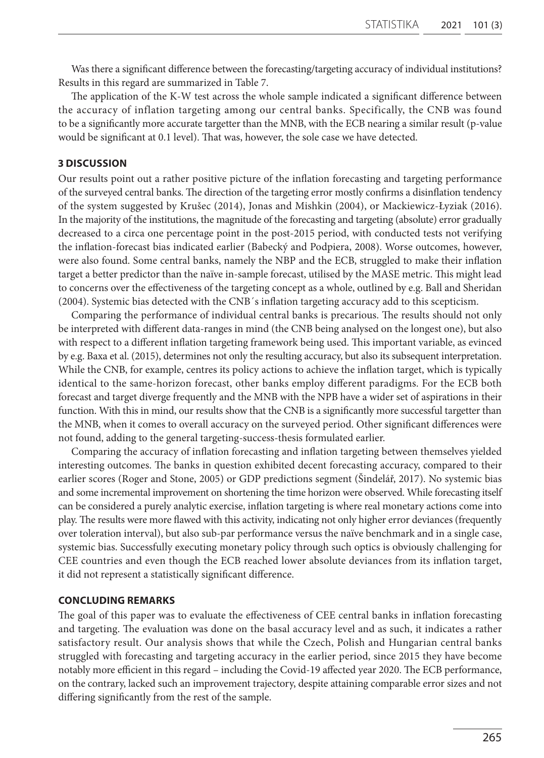Was there a significant difference between the forecasting/targeting accuracy of individual institutions? Results in this regard are summarized in Table 7.

The application of the K-W test across the whole sample indicated a significant difference between the accuracy of inflation targeting among our central banks. Specifically, the CNB was found to be a significantly more accurate targetter than the MNB, with the ECB nearing a similar result (p-value would be significant at 0.1 level). That was, however, the sole case we have detected.

## **3 DISCUSSION**

Our results point out a rather positive picture of the inflation forecasting and targeting performance of the surveyed central banks. The direction of the targeting error mostly confirms a disinflation tendency of the system suggested by Krušec (2014), Jonas and Mishkin (2004), or Mackiewicz-Łyziak (2016). In the majority of the institutions, the magnitude of the forecasting and targeting (absolute) error gradually decreased to a circa one percentage point in the post-2015 period, with conducted tests not verifying the inflation-forecast bias indicated earlier (Babecký and Podpiera, 2008). Worse outcomes, however, were also found. Some central banks, namely the NBP and the ECB, struggled to make their inflation target a better predictor than the naïve in-sample forecast, utilised by the MASE metric. This might lead to concerns over the effectiveness of the targeting concept as a whole, outlined by e.g. Ball and Sheridan (2004). Systemic bias detected with the CNB´s inflation targeting accuracy add to this scepticism.

Comparing the performance of individual central banks is precarious. The results should not only be interpreted with different data-ranges in mind (the CNB being analysed on the longest one), but also with respect to a different inflation targeting framework being used. This important variable, as evinced by e.g. Baxa et al. (2015), determines not only the resulting accuracy, but also its subsequent interpretation. While the CNB, for example, centres its policy actions to achieve the inflation target, which is typically identical to the same-horizon forecast, other banks employ different paradigms. For the ECB both forecast and target diverge frequently and the MNB with the NPB have a wider set of aspirations in their function. With this in mind, our results show that the CNB is a significantly more successful targetter than the MNB, when it comes to overall accuracy on the surveyed period. Other significant differences were not found, adding to the general targeting-success-thesis formulated earlier.

Comparing the accuracy of inflation forecasting and inflation targeting between themselves yielded interesting outcomes. The banks in question exhibited decent forecasting accuracy, compared to their earlier scores (Roger and Stone, 2005) or GDP predictions segment (Šindelář, 2017). No systemic bias and some incremental improvement on shortening the time horizon were observed. While forecasting itself can be considered a purely analytic exercise, inflation targeting is where real monetary actions come into play. The results were more flawed with this activity, indicating not only higher error deviances (frequently over toleration interval), but also sub-par performance versus the naïve benchmark and in a single case, systemic bias. Successfully executing monetary policy through such optics is obviously challenging for CEE countries and even though the ECB reached lower absolute deviances from its inflation target, it did not represent a statistically significant difference.

## **CONCLUDING REMARKS**

The goal of this paper was to evaluate the effectiveness of CEE central banks in inflation forecasting and targeting. The evaluation was done on the basal accuracy level and as such, it indicates a rather satisfactory result. Our analysis shows that while the Czech, Polish and Hungarian central banks struggled with forecasting and targeting accuracy in the earlier period, since 2015 they have become notably more efficient in this regard – including the Covid-19 affected year 2020. The ECB performance, on the contrary, lacked such an improvement trajectory, despite attaining comparable error sizes and not differing significantly from the rest of the sample.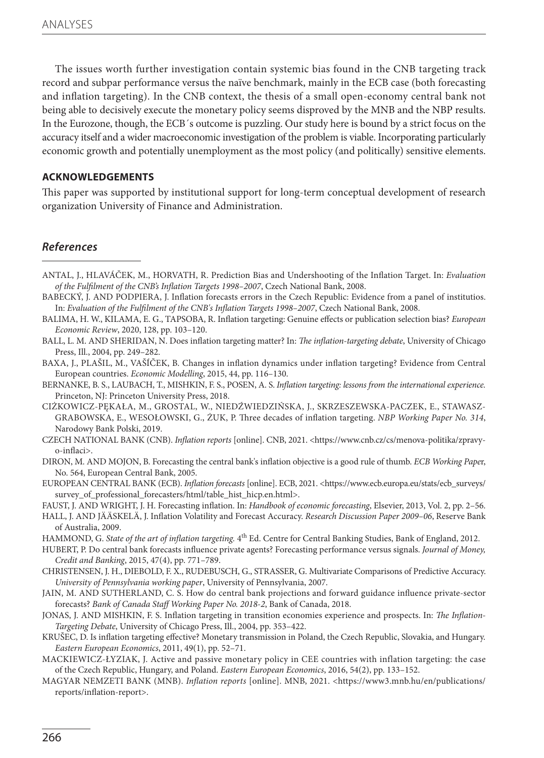The issues worth further investigation contain systemic bias found in the CNB targeting track record and subpar performance versus the naïve benchmark, mainly in the ECB case (both forecasting and inflation targeting). In the CNB context, the thesis of a small open-economy central bank not being able to decisively execute the monetary policy seems disproved by the MNB and the NBP results. In the Eurozone, though, the ECB´s outcome is puzzling. Our study here is bound by a strict focus on the accuracy itself and a wider macroeconomic investigation of the problem is viable. Incorporating particularly economic growth and potentially unemployment as the most policy (and politically) sensitive elements.

## **ACKNOWLEDGEMENTS**

This paper was supported by institutional support for long-term conceptual development of research organization University of Finance and Administration.

## *References*

- ANTAL, J., HLAVÁČEK, M., HORVATH, R. Prediction Bias and Undershooting of the Inflation Target. In: *Evaluation of the Fulfilment of the CNB's Inflation Targets 1998–2007*, Czech National Bank, 2008.
- BABECKÝ, J. AND PODPIERA, J. Inflation forecasts errors in the Czech Republic: Evidence from a panel of institutios. In: *Evaluation of the Fulfilment of the CNB's Inflation Targets 1998–2007*, Czech National Bank, 2008.
- BALIMA, H. W., KILAMA, E. G., TAPSOBA, R. Inflation targeting: Genuine effects or publication selection bias? *European Economic Review*, 2020, 128, pp. 103–120.
- BALL, L. M. AND SHERIDAN, N. Does inflation targeting matter? In: *The inflation-targeting debate*, University of Chicago Press, Ill., 2004, pp. 249–282.
- BAXA, J., PLAŠIL, M., VAŠÍČEK, B. Changes in inflation dynamics under inflation targeting? Evidence from Central European countries. *Economic Modelling*, 2015, 44, pp. 116–130.
- BERNANKE, B. S., LAUBACH, T., MISHKIN, F. S., POSEN, A. S. *Inflation targeting: lessons from the international experience.* Princeton, NJ: Princeton University Press, 2018.
- CIŻKOWICZ-PĘKAŁA, M., GROSTAL, W., NIEDŹWIEDZIŃSKA, J., SKRZESZEWSKA-PACZEK, E., STAWASZ-GRABOWSKA, E., WESOŁOWSKI, G., ŻUK, P. Three decades of inflation targeting. *NBP Working Paper No. 314*, Narodowy Bank Polski, 2019.
- CZECH NATIONAL BANK (CNB). *Inflation reports* [online]. CNB, 2021. <https://www.cnb.cz/cs/menova-politika/zpravyo-inflaci>.
- DIRON, M. AND MOJON, B. Forecasting the central bank's inflation objective is a good rule of thumb. *ECB Working Pape*r, No. 564, European Central Bank, 2005.
- EUROPEAN CENTRAL BANK (ECB). *Inflation forecasts* [online]. ECB, 2021. <https://www.ecb.europa.eu/stats/ecb\_surveys/ survey\_of\_professional\_forecasters/html/table\_hist\_hicp.en.html>.
- FAUST, J. AND WRIGHT, J. H. Forecasting inflation. In: *Handbook of economic forecasting*, Elsevier, 2013, Vol. 2, pp. 2–56.
- HALL, J. AND JÄÄSKELÄ, J. Inflation Volatility and Forecast Accuracy. *Research Discussion Paper 2009–06*, Reserve Bank of Australia, 2009.
- HAMMOND, G. *State of the art of inflation targeting*.  $4<sup>th</sup>$  Ed. Centre for Central Banking Studies, Bank of England, 2012.
- HUBERT, P. Do central bank forecasts influence private agents? Forecasting performance versus signals. *Journal of Money, Credit and Banking*, 2015, 47(4), pp. 771–789.
- CHRISTENSEN, J. H., DIEBOLD, F. X., RUDEBUSCH, G., STRASSER, G. Multivariate Comparisons of Predictive Accuracy. *University of Pennsylvania working paper*, University of Pennsylvania, 2007.
- JAIN, M. AND SUTHERLAND, C. S. How do central bank projections and forward guidance influence private-sector forecasts? *Bank of Canada Staff Working Paper No. 2018-2*, Bank of Canada, 2018.
- JONAS, J. AND MISHKIN, F. S. Inflation targeting in transition economies experience and prospects. In: *The Inflation-Targeting Debate*, University of Chicago Press, Ill., 2004, pp. 353–422.
- KRUŠEC, D. Is inflation targeting effective? Monetary transmission in Poland, the Czech Republic, Slovakia, and Hungary. *Eastern European Economics*, 2011, 49(1), pp. 52–71.
- MACKIEWICZ-ŁYZIAK, J. Active and passive monetary policy in CEE countries with inflation targeting: the case of the Czech Republic, Hungary, and Poland. *Eastern European Economics*, 2016, 54(2), pp. 133–152.
- MAGYAR NEMZETI BANK (MNB). *Inflation reports* [online]. MNB, 2021. <https://www3.mnb.hu/en/publications/ reports/inflation-report>.